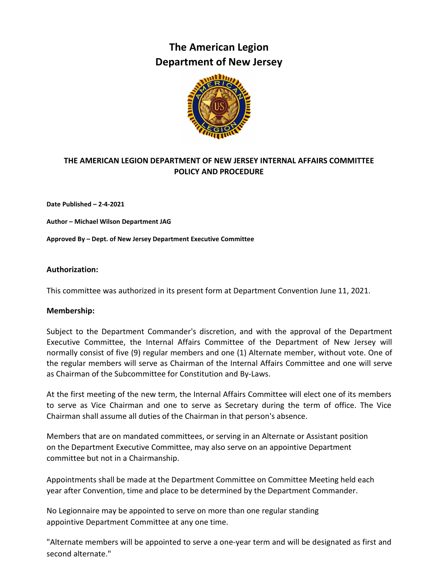# **The American Legion Department of New Jersey**



## **THE AMERICAN LEGION DEPARTMENT OF NEW JERSEY INTERNAL AFFAIRS COMMITTEE POLICY AND PROCEDURE**

**Date Published – 2-4-2021**

**Author – Michael Wilson Department JAG**

**Approved By – Dept. of New Jersey Department Executive Committee** 

## **Authorization:**

This committee was authorized in its present form at Department Convention June 11, 2021.

## **Membership:**

Subject to the Department Commander's discretion, and with the approval of the Department Executive Committee, the Internal Affairs Committee of the Department of New Jersey will normally consist of five (9) regular members and one (1) Alternate member, without vote. One of the regular members will serve as Chairman of the Internal Affairs Committee and one will serve as Chairman of the Subcommittee for Constitution and By-Laws.

At the first meeting of the new term, the Internal Affairs Committee will elect one of its members to serve as Vice Chairman and one to serve as Secretary during the term of office. The Vice Chairman shall assume all duties of the Chairman in that person's absence.

Members that are on mandated committees, or serving in an Alternate or Assistant position on the Department Executive Committee, may also serve on an appointive Department committee but not in a Chairmanship.

Appointments shall be made at the Department Committee on Committee Meeting held each year after Convention, time and place to be determined by the Department Commander.

No Legionnaire may be appointed to serve on more than one regular standing appointive Department Committee at any one time.

"Alternate members will be appointed to serve a one-year term and will be designated as first and second alternate."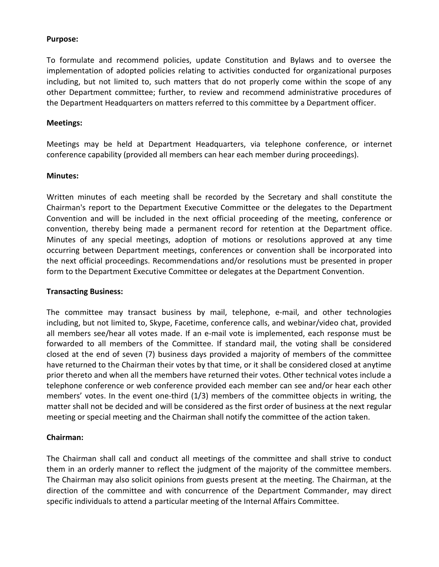## **Purpose:**

To formulate and recommend policies, update Constitution and Bylaws and to oversee the implementation of adopted policies relating to activities conducted for organizational purposes including, but not limited to, such matters that do not properly come within the scope of any other Department committee; further, to review and recommend administrative procedures of the Department Headquarters on matters referred to this committee by a Department officer.

## **Meetings:**

Meetings may be held at Department Headquarters, via telephone conference, or internet conference capability (provided all members can hear each member during proceedings).

## **Minutes:**

Written minutes of each meeting shall be recorded by the Secretary and shall constitute the Chairman's report to the Department Executive Committee or the delegates to the Department Convention and will be included in the next official proceeding of the meeting, conference or convention, thereby being made a permanent record for retention at the Department office. Minutes of any special meetings, adoption of motions or resolutions approved at any time occurring between Department meetings, conferences or convention shall be incorporated into the next official proceedings. Recommendations and/or resolutions must be presented in proper form to the Department Executive Committee or delegates at the Department Convention.

## **Transacting Business:**

The committee may transact business by mail, telephone, e-mail, and other technologies including, but not limited to, Skype, Facetime, conference calls, and webinar/video chat, provided all members see/hear all votes made. If an e-mail vote is implemented, each response must be forwarded to all members of the Committee. If standard mail, the voting shall be considered closed at the end of seven (7) business days provided a majority of members of the committee have returned to the Chairman their votes by that time, or it shall be considered closed at anytime prior thereto and when all the members have returned their votes. Other technical votes include a telephone conference or web conference provided each member can see and/or hear each other members' votes. In the event one-third (1/3) members of the committee objects in writing, the matter shall not be decided and will be considered as the first order of business at the next regular meeting or special meeting and the Chairman shall notify the committee of the action taken.

## **Chairman:**

The Chairman shall call and conduct all meetings of the committee and shall strive to conduct them in an orderly manner to reflect the judgment of the majority of the committee members. The Chairman may also solicit opinions from guests present at the meeting. The Chairman, at the direction of the committee and with concurrence of the Department Commander, may direct specific individuals to attend a particular meeting of the Internal Affairs Committee.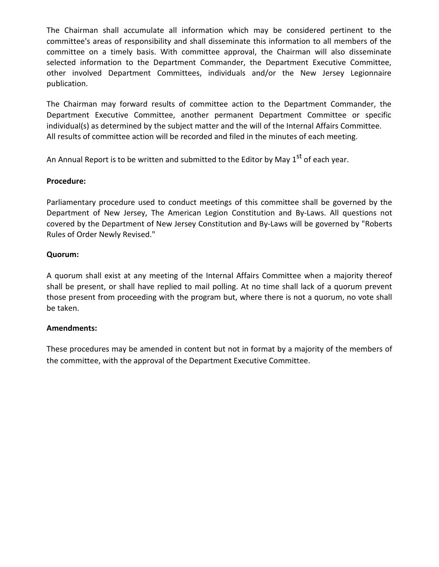The Chairman shall accumulate all information which may be considered pertinent to the committee's areas of responsibility and shall disseminate this information to all members of the committee on a timely basis. With committee approval, the Chairman will also disseminate selected information to the Department Commander, the Department Executive Committee, other involved Department Committees, individuals and/or the New Jersey Legionnaire publication.

The Chairman may forward results of committee action to the Department Commander, the Department Executive Committee, another permanent Department Committee or specific individual(s) as determined by the subject matter and the will of the Internal Affairs Committee. All results of committee action will be recorded and filed in the minutes of each meeting.

An Annual Report is to be written and submitted to the Editor by May  $1<sup>st</sup>$  of each year.

## **Procedure:**

Parliamentary procedure used to conduct meetings of this committee shall be governed by the Department of New Jersey, The American Legion Constitution and By-Laws. All questions not covered by the Department of New Jersey Constitution and By-Laws will be governed by "Roberts Rules of Order Newly Revised."

## **Quorum:**

A quorum shall exist at any meeting of the Internal Affairs Committee when a majority thereof shall be present, or shall have replied to mail polling. At no time shall lack of a quorum prevent those present from proceeding with the program but, where there is not a quorum, no vote shall be taken.

## **Amendments:**

These procedures may be amended in content but not in format by a majority of the members of the committee, with the approval of the Department Executive Committee.